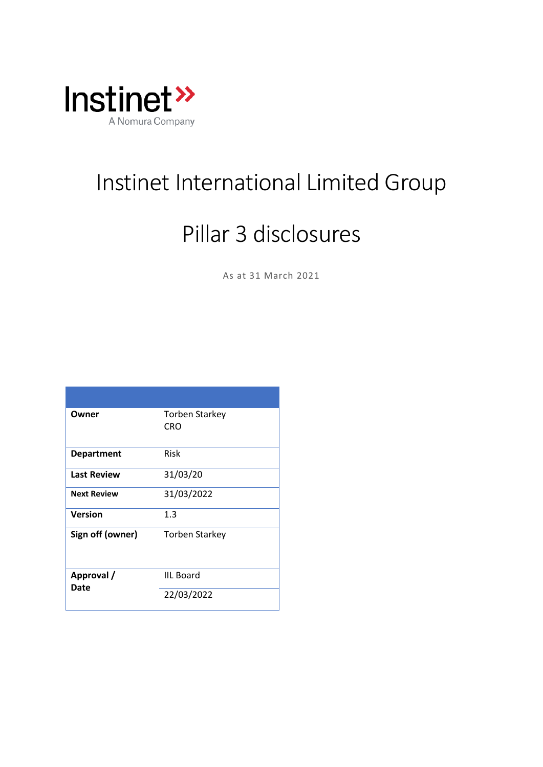

# Instinet International Limited Group

# Pillar 3 disclosures

As at 31 March 2021

| Owner              | Torben Starkey<br>CRO |
|--------------------|-----------------------|
| <b>Department</b>  | Risk                  |
| <b>Last Review</b> | 31/03/20              |
| <b>Next Review</b> | 31/03/2022            |
| <b>Version</b>     | $1.3\,$               |
| Sign off (owner)   | <b>Torben Starkey</b> |
| Approval /<br>Date | <b>IIL Board</b>      |
|                    | 22/03/2022            |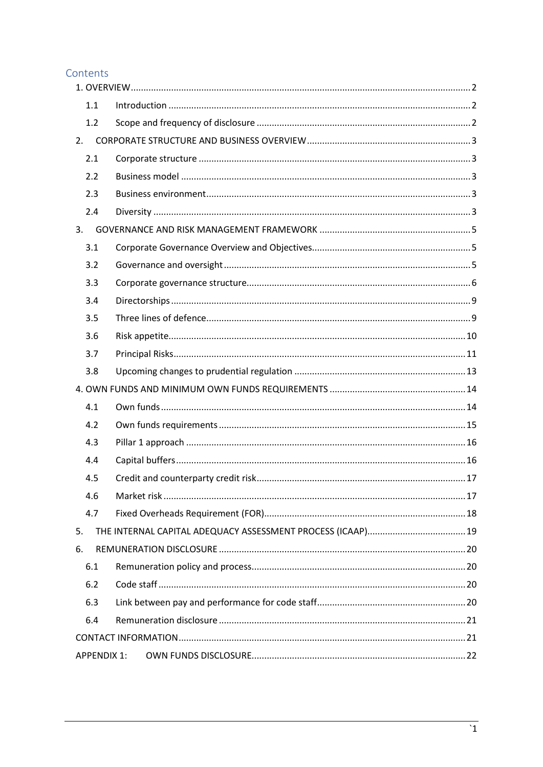# Contents

| 1.1                |  |
|--------------------|--|
| 1.2                |  |
| 2.                 |  |
| 2.1                |  |
| 2.2                |  |
| 2.3                |  |
| 2.4                |  |
| 3.                 |  |
| 3.1                |  |
| 3.2                |  |
| 3.3                |  |
| 3.4                |  |
| 3.5                |  |
| 3.6                |  |
| 3.7                |  |
| 3.8                |  |
|                    |  |
| 4.1                |  |
| 4.2                |  |
| 4.3                |  |
| 4.4                |  |
| 4.5                |  |
| 4.6                |  |
| 4.7                |  |
| 5.                 |  |
| 6.                 |  |
| 6.1                |  |
| 6.2                |  |
| 6.3                |  |
| 6.4                |  |
|                    |  |
| <b>APPENDIX 1:</b> |  |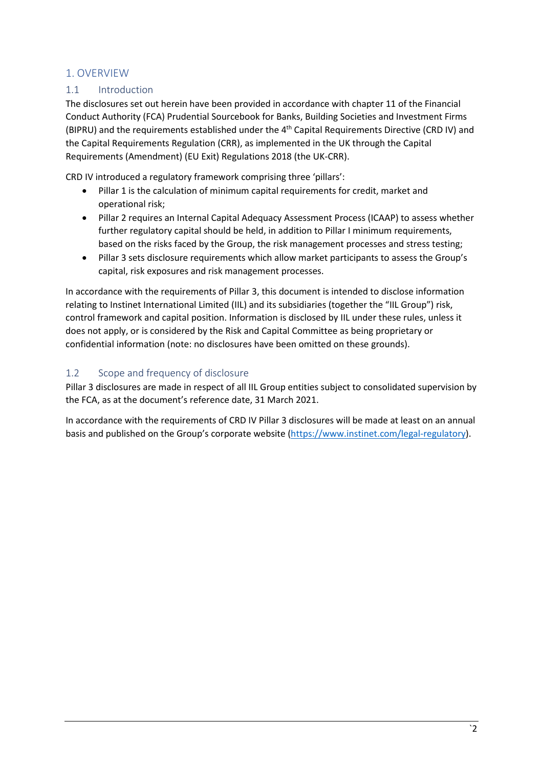# <span id="page-2-0"></span>1. OVERVIEW

# <span id="page-2-1"></span>1.1 Introduction

The disclosures set out herein have been provided in accordance with chapter 11 of the Financial Conduct Authority (FCA) Prudential Sourcebook for Banks, Building Societies and Investment Firms (BIPRU) and the requirements established under the 4<sup>th</sup> Capital Requirements Directive (CRD IV) and the Capital Requirements Regulation (CRR), as implemented in the UK through the Capital Requirements (Amendment) (EU Exit) Regulations 2018 (the UK-CRR).

CRD IV introduced a regulatory framework comprising three 'pillars':

- Pillar 1 is the calculation of minimum capital requirements for credit, market and operational risk;
- Pillar 2 requires an Internal Capital Adequacy Assessment Process (ICAAP) to assess whether further regulatory capital should be held, in addition to Pillar I minimum requirements, based on the risks faced by the Group, the risk management processes and stress testing;
- Pillar 3 sets disclosure requirements which allow market participants to assess the Group's capital, risk exposures and risk management processes.

In accordance with the requirements of Pillar 3, this document is intended to disclose information relating to Instinet International Limited (IIL) and its subsidiaries (together the "IIL Group") risk, control framework and capital position. Information is disclosed by IIL under these rules, unless it does not apply, or is considered by the Risk and Capital Committee as being proprietary or confidential information (note: no disclosures have been omitted on these grounds).

# <span id="page-2-2"></span>1.2 Scope and frequency of disclosure

Pillar 3 disclosures are made in respect of all IIL Group entities subject to consolidated supervision by the FCA, as at the document's reference date, 31 March 2021.

In accordance with the requirements of CRD IV Pillar 3 disclosures will be made at least on an annual basis and published on the Group's corporate website [\(https://www.instinet.com/legal-regulatory\)](https://www.instinet.com/legal-regulatory).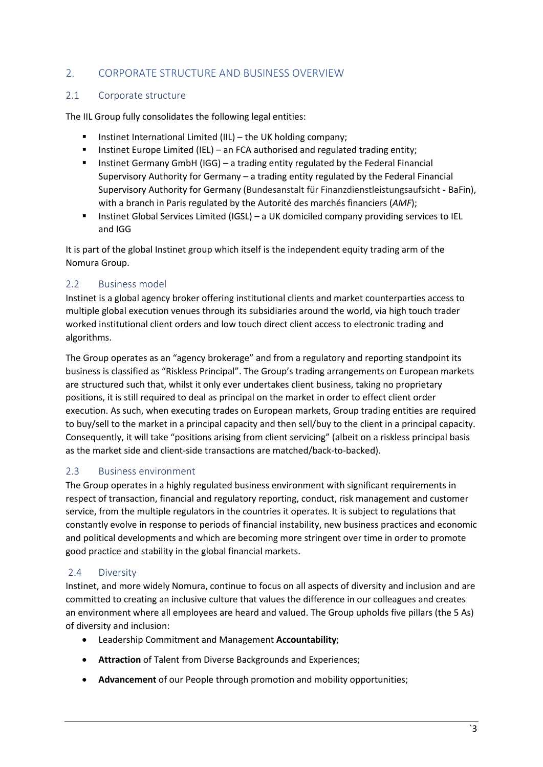# <span id="page-3-0"></span>2. CORPORATE STRUCTURE AND BUSINESS OVERVIEW

## <span id="page-3-1"></span>2.1 Corporate structure

The IIL Group fully consolidates the following legal entities:

- Instinet International Limited (IIL) the UK holding company;
- **Instinet Europe Limited (IEL)** an FCA authorised and regulated trading entity;
- **Instinet Germany GmbH (IGG) a trading entity regulated by the Federal Financial** Supervisory Authority for Germany – a trading entity regulated by the Federal Financial Supervisory Authority for Germany (Bundesanstalt für Finanzdienstleistungsaufsicht **-** BaFin), with a branch in Paris regulated by the Autorité des marchés financiers (*AMF*);
- **Instinet Global Services Limited (IGSL) a UK domiciled company providing services to IEL** and IGG

It is part of the global Instinet group which itself is the independent equity trading arm of the Nomura Group.

# <span id="page-3-2"></span>2.2 Business model

Instinet is a global agency broker offering institutional clients and market counterparties access to multiple global execution venues through its subsidiaries around the world, via high touch trader worked institutional client orders and low touch direct client access to electronic trading and algorithms.

The Group operates as an "agency brokerage" and from a regulatory and reporting standpoint its business is classified as "Riskless Principal". The Group's trading arrangements on European markets are structured such that, whilst it only ever undertakes client business, taking no proprietary positions, it is still required to deal as principal on the market in order to effect client order execution. As such, when executing trades on European markets, Group trading entities are required to buy/sell to the market in a principal capacity and then sell/buy to the client in a principal capacity. Consequently, it will take "positions arising from client servicing" (albeit on a riskless principal basis as the market side and client-side transactions are matched/back-to-backed).

# <span id="page-3-3"></span>2.3 Business environment

The Group operates in a highly regulated business environment with significant requirements in respect of transaction, financial and regulatory reporting, conduct, risk management and customer service, from the multiple regulators in the countries it operates. It is subject to regulations that constantly evolve in response to periods of financial instability, new business practices and economic and political developments and which are becoming more stringent over time in order to promote good practice and stability in the global financial markets.

# <span id="page-3-4"></span>2.4 Diversity

Instinet, and more widely Nomura, continue to focus on all aspects of diversity and inclusion and are committed to creating an inclusive culture that values the difference in our colleagues and creates an environment where all employees are heard and valued. The Group upholds five pillars (the 5 As) of diversity and inclusion:

- Leadership Commitment and Management **Accountability**;
- **Attraction** of Talent from Diverse Backgrounds and Experiences;
- **Advancement** of our People through promotion and mobility opportunities;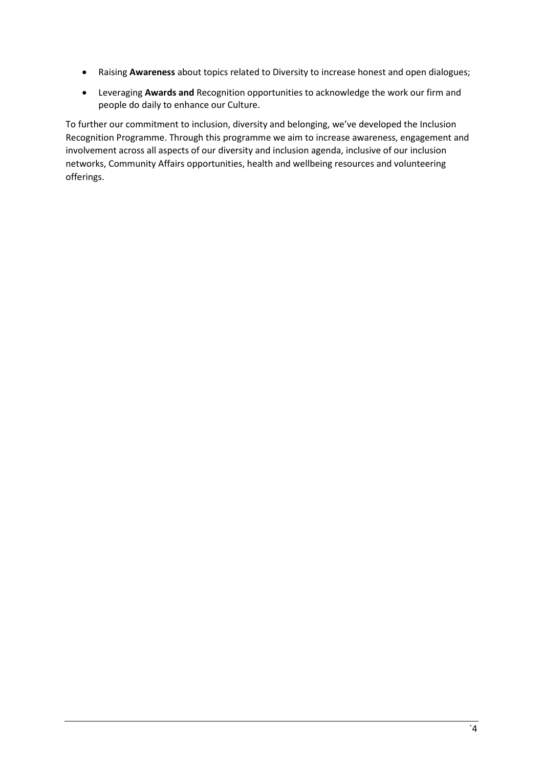- Raising **Awareness** about topics related to Diversity to increase honest and open dialogues;
- Leveraging **Awards and** Recognition opportunities to acknowledge the work our firm and people do daily to enhance our Culture.

To further our commitment to inclusion, diversity and belonging, we've developed the Inclusion Recognition Programme. Through this programme we aim to increase awareness, engagement and involvement across all aspects of our diversity and inclusion agenda, inclusive of our inclusion networks, Community Affairs opportunities, health and wellbeing resources and volunteering offerings.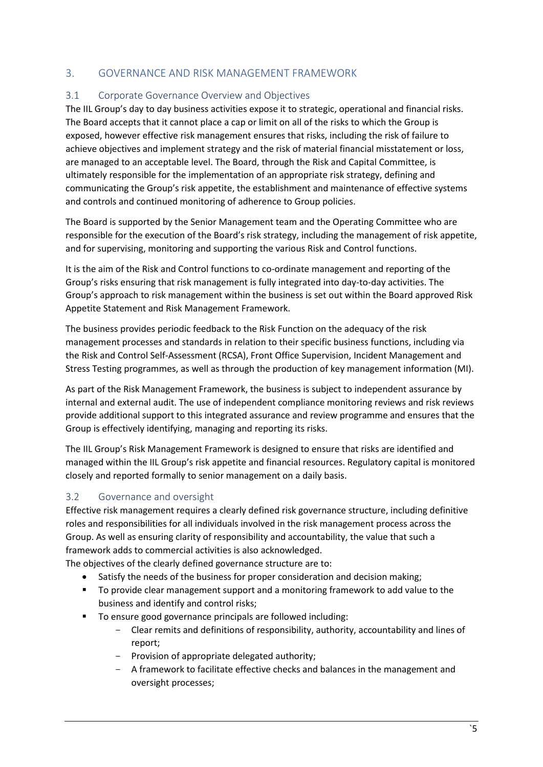# <span id="page-5-0"></span>3. GOVERNANCE AND RISK MANAGEMENT FRAMEWORK

## <span id="page-5-1"></span>3.1 Corporate Governance Overview and Objectives

The IIL Group's day to day business activities expose it to strategic, operational and financial risks. The Board accepts that it cannot place a cap or limit on all of the risks to which the Group is exposed, however effective risk management ensures that risks, including the risk of failure to achieve objectives and implement strategy and the risk of material financial misstatement or loss, are managed to an acceptable level. The Board, through the Risk and Capital Committee, is ultimately responsible for the implementation of an appropriate risk strategy, defining and communicating the Group's risk appetite, the establishment and maintenance of effective systems and controls and continued monitoring of adherence to Group policies.

The Board is supported by the Senior Management team and the Operating Committee who are responsible for the execution of the Board's risk strategy, including the management of risk appetite, and for supervising, monitoring and supporting the various Risk and Control functions.

It is the aim of the Risk and Control functions to co-ordinate management and reporting of the Group's risks ensuring that risk management is fully integrated into day-to-day activities. The Group's approach to risk management within the business is set out within the Board approved Risk Appetite Statement and Risk Management Framework.

The business provides periodic feedback to the Risk Function on the adequacy of the risk management processes and standards in relation to their specific business functions, including via the Risk and Control Self-Assessment (RCSA), Front Office Supervision, Incident Management and Stress Testing programmes, as well as through the production of key management information (MI).

As part of the Risk Management Framework, the business is subject to independent assurance by internal and external audit. The use of independent compliance monitoring reviews and risk reviews provide additional support to this integrated assurance and review programme and ensures that the Group is effectively identifying, managing and reporting its risks.

The IIL Group's Risk Management Framework is designed to ensure that risks are identified and managed within the IIL Group's risk appetite and financial resources. Regulatory capital is monitored closely and reported formally to senior management on a daily basis.

# <span id="page-5-2"></span>3.2 Governance and oversight

Effective risk management requires a clearly defined risk governance structure, including definitive roles and responsibilities for all individuals involved in the risk management process across the Group. As well as ensuring clarity of responsibility and accountability, the value that such a framework adds to commercial activities is also acknowledged.

The objectives of the clearly defined governance structure are to:

- Satisfy the needs of the business for proper consideration and decision making;
- To provide clear management support and a monitoring framework to add value to the business and identify and control risks;
- To ensure good governance principals are followed including:
	- Clear remits and definitions of responsibility, authority, accountability and lines of report;
	- Provision of appropriate delegated authority;
	- A framework to facilitate effective checks and balances in the management and oversight processes;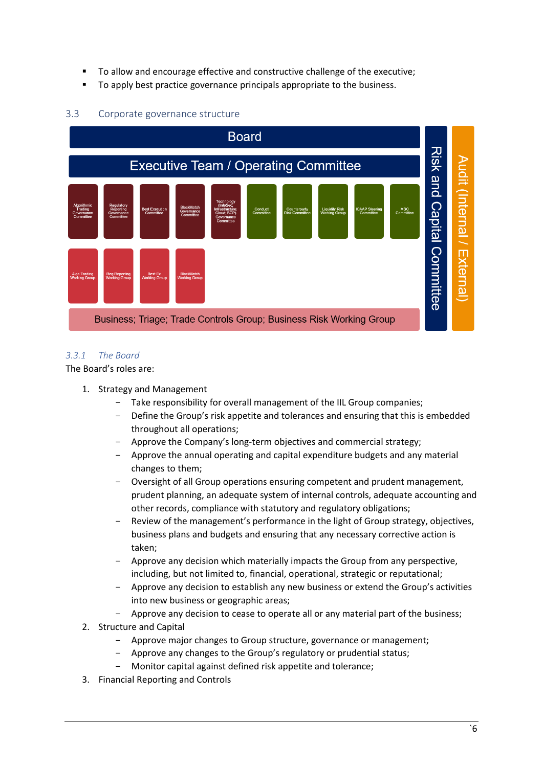- To allow and encourage effective and constructive challenge of the executive;
- **To apply best practice governance principals appropriate to the business.**



#### <span id="page-6-0"></span>3.3 Corporate governance structure

#### *3.3.1 The Board*

The Board's roles are:

- 1. Strategy and Management
	- Take responsibility for overall management of the IIL Group companies;
	- Define the Group's risk appetite and tolerances and ensuring that this is embedded throughout all operations;
	- Approve the Company's long-term objectives and commercial strategy;
	- Approve the annual operating and capital expenditure budgets and any material changes to them;
	- Oversight of all Group operations ensuring competent and prudent management, prudent planning, an adequate system of internal controls, adequate accounting and other records, compliance with statutory and regulatory obligations;
	- Review of the management's performance in the light of Group strategy, objectives, business plans and budgets and ensuring that any necessary corrective action is taken;
	- Approve any decision which materially impacts the Group from any perspective, including, but not limited to, financial, operational, strategic or reputational;
	- Approve any decision to establish any new business or extend the Group's activities into new business or geographic areas;
	- Approve any decision to cease to operate all or any material part of the business;
- 2. Structure and Capital
	- Approve major changes to Group structure, governance or management;
	- Approve any changes to the Group's regulatory or prudential status;
	- Monitor capital against defined risk appetite and tolerance;
- 3. Financial Reporting and Controls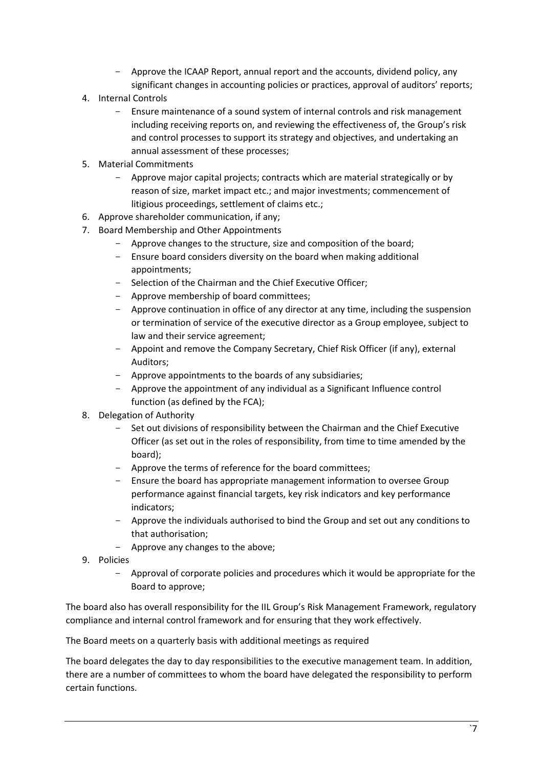- Approve the ICAAP Report, annual report and the accounts, dividend policy, any significant changes in accounting policies or practices, approval of auditors' reports;
- 4. Internal Controls
	- Ensure maintenance of a sound system of internal controls and risk management including receiving reports on, and reviewing the effectiveness of, the Group's risk and control processes to support its strategy and objectives, and undertaking an annual assessment of these processes;
- 5. Material Commitments
	- Approve major capital projects; contracts which are material strategically or by reason of size, market impact etc.; and major investments; commencement of litigious proceedings, settlement of claims etc.;
- 6. Approve shareholder communication, if any;
- 7. Board Membership and Other Appointments
	- Approve changes to the structure, size and composition of the board;
	- Ensure board considers diversity on the board when making additional appointments;
	- Selection of the Chairman and the Chief Executive Officer;
	- Approve membership of board committees;
	- Approve continuation in office of any director at any time, including the suspension or termination of service of the executive director as a Group employee, subject to law and their service agreement;
	- Appoint and remove the Company Secretary, Chief Risk Officer (if any), external Auditors;
	- Approve appointments to the boards of any subsidiaries;
	- Approve the appointment of any individual as a Significant Influence control function (as defined by the FCA);
- 8. Delegation of Authority
	- Set out divisions of responsibility between the Chairman and the Chief Executive Officer (as set out in the roles of responsibility, from time to time amended by the board);
	- Approve the terms of reference for the board committees;
	- Ensure the board has appropriate management information to oversee Group performance against financial targets, key risk indicators and key performance indicators;
	- Approve the individuals authorised to bind the Group and set out any conditions to that authorisation;
	- Approve any changes to the above;
- 9. Policies
	- Approval of corporate policies and procedures which it would be appropriate for the Board to approve;

The board also has overall responsibility for the IIL Group's Risk Management Framework, regulatory compliance and internal control framework and for ensuring that they work effectively.

#### The Board meets on a quarterly basis with additional meetings as required

The board delegates the day to day responsibilities to the executive management team. In addition, there are a number of committees to whom the board have delegated the responsibility to perform certain functions.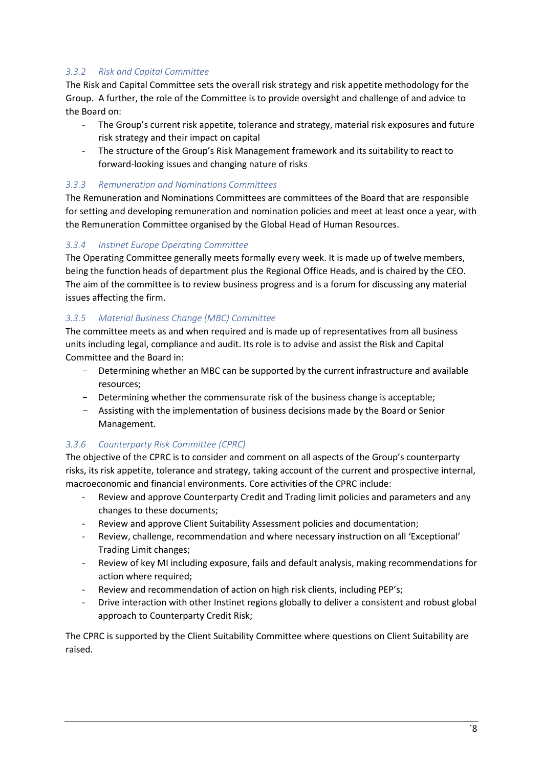# *3.3.2 Risk and Capital Committee*

The Risk and Capital Committee sets the overall risk strategy and risk appetite methodology for the Group. A further, the role of the Committee is to provide oversight and challenge of and advice to the Board on:

- The Group's current risk appetite, tolerance and strategy, material risk exposures and future risk strategy and their impact on capital
- The structure of the Group's Risk Management framework and its suitability to react to forward-looking issues and changing nature of risks

#### *3.3.3 Remuneration and Nominations Committees*

The Remuneration and Nominations Committees are committees of the Board that are responsible for setting and developing remuneration and nomination policies and meet at least once a year, with the Remuneration Committee organised by the Global Head of Human Resources.

#### *3.3.4 Instinet Europe Operating Committee*

The Operating Committee generally meets formally every week. It is made up of twelve members, being the function heads of department plus the Regional Office Heads, and is chaired by the CEO. The aim of the committee is to review business progress and is a forum for discussing any material issues affecting the firm.

#### *3.3.5 Material Business Change (MBC) Committee*

The committee meets as and when required and is made up of representatives from all business units including legal, compliance and audit. Its role is to advise and assist the Risk and Capital Committee and the Board in:

- Determining whether an MBC can be supported by the current infrastructure and available resources;
- Determining whether the commensurate risk of the business change is acceptable;
- Assisting with the implementation of business decisions made by the Board or Senior Management.

#### *3.3.6 Counterparty Risk Committee (CPRC)*

The objective of the CPRC is to consider and comment on all aspects of the Group's counterparty risks, its risk appetite, tolerance and strategy, taking account of the current and prospective internal, macroeconomic and financial environments. Core activities of the CPRC include:

- Review and approve Counterparty Credit and Trading limit policies and parameters and any changes to these documents;
- Review and approve Client Suitability Assessment policies and documentation;
- Review, challenge, recommendation and where necessary instruction on all 'Exceptional' Trading Limit changes;
- Review of key MI including exposure, fails and default analysis, making recommendations for action where required:
- Review and recommendation of action on high risk clients, including PEP's;
- Drive interaction with other Instinet regions globally to deliver a consistent and robust global approach to Counterparty Credit Risk;

The CPRC is supported by the Client Suitability Committee where questions on Client Suitability are raised.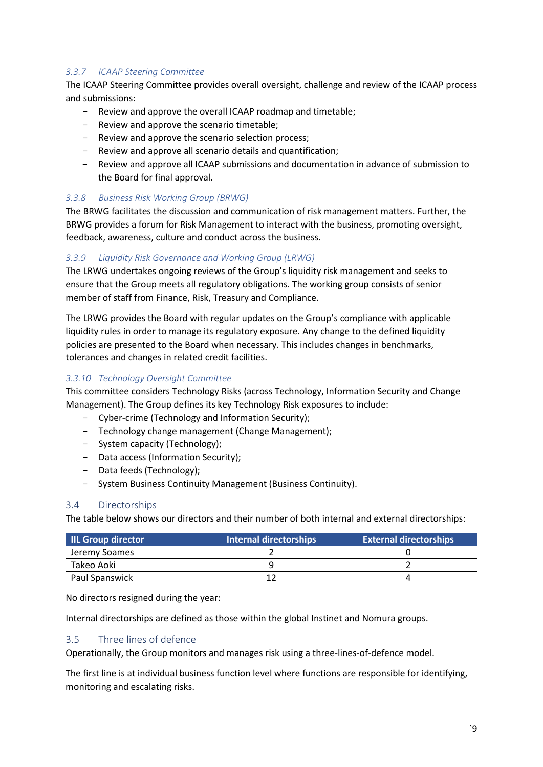# *3.3.7 ICAAP Steering Committee*

The ICAAP Steering Committee provides overall oversight, challenge and review of the ICAAP process and submissions:

- Review and approve the overall ICAAP roadmap and timetable;
- Review and approve the scenario timetable;
- Review and approve the scenario selection process;
- Review and approve all scenario details and quantification;
- Review and approve all ICAAP submissions and documentation in advance of submission to the Board for final approval.

#### *3.3.8 Business Risk Working Group (BRWG)*

The BRWG facilitates the discussion and communication of risk management matters. Further, the BRWG provides a forum for Risk Management to interact with the business, promoting oversight, feedback, awareness, culture and conduct across the business.

#### *3.3.9 Liquidity Risk Governance and Working Group (LRWG)*

The LRWG undertakes ongoing reviews of the Group's liquidity risk management and seeks to ensure that the Group meets all regulatory obligations. The working group consists of senior member of staff from Finance, Risk, Treasury and Compliance.

The LRWG provides the Board with regular updates on the Group's compliance with applicable liquidity rules in order to manage its regulatory exposure. Any change to the defined liquidity policies are presented to the Board when necessary. This includes changes in benchmarks, tolerances and changes in related credit facilities.

## *3.3.10 Technology Oversight Committee*

This committee considers Technology Risks (across Technology, Information Security and Change Management). The Group defines its key Technology Risk exposures to include:

- Cyber-crime (Technology and Information Security);
- Technology change management (Change Management);
- System capacity (Technology);
- Data access (Information Security);
- Data feeds (Technology);
- System Business Continuity Management (Business Continuity).

#### <span id="page-9-0"></span>3.4 Directorships

The table below shows our directors and their number of both internal and external directorships:

| <b>IIL Group director</b> | <b>Internal directorships</b> | <b>External directorships</b> |
|---------------------------|-------------------------------|-------------------------------|
| Jeremy Soames             |                               |                               |
| Takeo Aoki                |                               |                               |
| Paul Spanswick            |                               |                               |

No directors resigned during the year:

Internal directorships are defined as those within the global Instinet and Nomura groups.

#### <span id="page-9-1"></span>3.5 Three lines of defence

Operationally, the Group monitors and manages risk using a three-lines-of-defence model.

The first line is at individual business function level where functions are responsible for identifying, monitoring and escalating risks.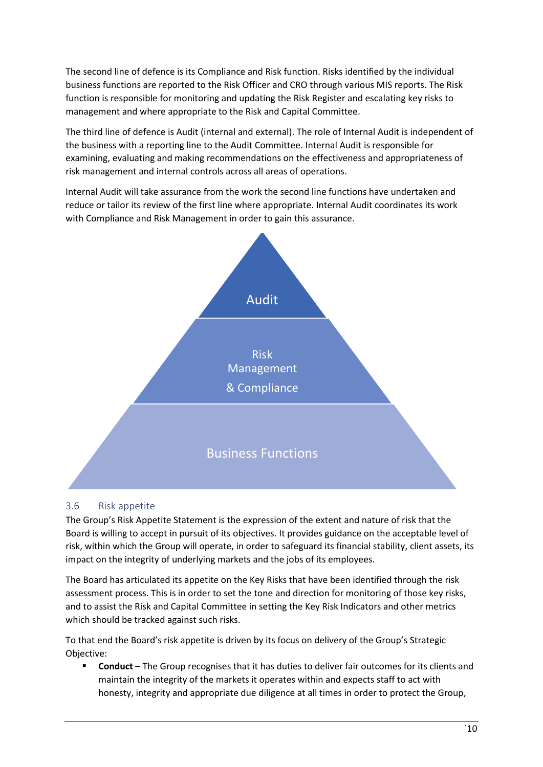The second line of defence is its Compliance and Risk function. Risks identified by the individual business functions are reported to the Risk Officer and CRO through various MIS reports. The Risk function is responsible for monitoring and updating the Risk Register and escalating key risks to management and where appropriate to the Risk and Capital Committee.

The third line of defence is Audit (internal and external). The role of Internal Audit is independent of the business with a reporting line to the Audit Committee. Internal Audit is responsible for examining, evaluating and making recommendations on the effectiveness and appropriateness of risk management and internal controls across all areas of operations.

Internal Audit will take assurance from the work the second line functions have undertaken and reduce or tailor its review of the first line where appropriate. Internal Audit coordinates its work with Compliance and Risk Management in order to gain this assurance.



#### <span id="page-10-0"></span>3.6 Risk appetite

The Group's Risk Appetite Statement is the expression of the extent and nature of risk that the Board is willing to accept in pursuit of its objectives. It provides guidance on the acceptable level of risk, within which the Group will operate, in order to safeguard its financial stability, client assets, its impact on the integrity of underlying markets and the jobs of its employees.

The Board has articulated its appetite on the Key Risks that have been identified through the risk assessment process. This is in order to set the tone and direction for monitoring of those key risks, and to assist the Risk and Capital Committee in setting the Key Risk Indicators and other metrics which should be tracked against such risks.

To that end the Board's risk appetite is driven by its focus on delivery of the Group's Strategic Objective:

**Conduct** – The Group recognises that it has duties to deliver fair outcomes for its clients and maintain the integrity of the markets it operates within and expects staff to act with honesty, integrity and appropriate due diligence at all times in order to protect the Group,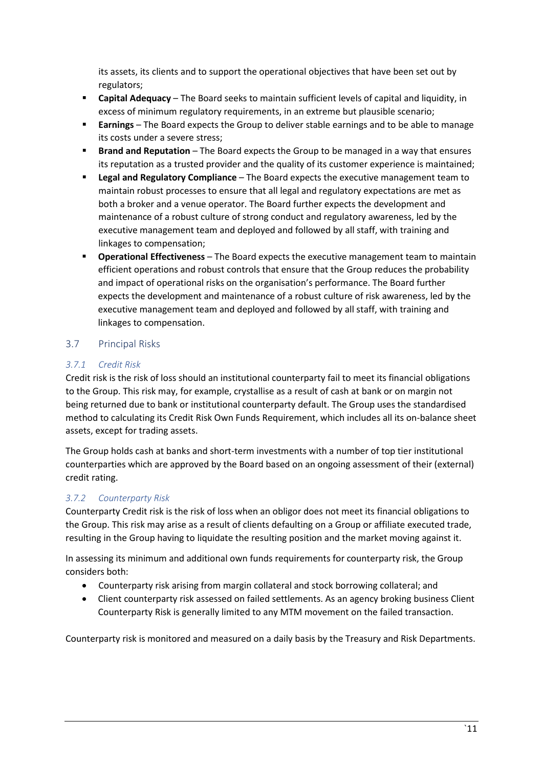its assets, its clients and to support the operational objectives that have been set out by regulators;

- **Capital Adequacy** The Board seeks to maintain sufficient levels of capital and liquidity, in excess of minimum regulatory requirements, in an extreme but plausible scenario;
- **Earnings** The Board expects the Group to deliver stable earnings and to be able to manage its costs under a severe stress;
- **Brand and Reputation** The Board expects the Group to be managed in a way that ensures its reputation as a trusted provider and the quality of its customer experience is maintained;
- **Legal and Regulatory Compliance** The Board expects the executive management team to maintain robust processes to ensure that all legal and regulatory expectations are met as both a broker and a venue operator. The Board further expects the development and maintenance of a robust culture of strong conduct and regulatory awareness, led by the executive management team and deployed and followed by all staff, with training and linkages to compensation;
- **Operational Effectiveness** The Board expects the executive management team to maintain efficient operations and robust controls that ensure that the Group reduces the probability and impact of operational risks on the organisation's performance. The Board further expects the development and maintenance of a robust culture of risk awareness, led by the executive management team and deployed and followed by all staff, with training and linkages to compensation.

# <span id="page-11-0"></span>3.7 Principal Risks

# *3.7.1 Credit Risk*

Credit risk is the risk of loss should an institutional counterparty fail to meet its financial obligations to the Group. This risk may, for example, crystallise as a result of cash at bank or on margin not being returned due to bank or institutional counterparty default. The Group uses the standardised method to calculating its Credit Risk Own Funds Requirement, which includes all its on-balance sheet assets, except for trading assets.

The Group holds cash at banks and short-term investments with a number of top tier institutional counterparties which are approved by the Board based on an ongoing assessment of their (external) credit rating.

# *3.7.2 Counterparty Risk*

Counterparty Credit risk is the risk of loss when an obligor does not meet its financial obligations to the Group. This risk may arise as a result of clients defaulting on a Group or affiliate executed trade, resulting in the Group having to liquidate the resulting position and the market moving against it.

In assessing its minimum and additional own funds requirements for counterparty risk, the Group considers both:

- Counterparty risk arising from margin collateral and stock borrowing collateral; and
- Client counterparty risk assessed on failed settlements. As an agency broking business Client Counterparty Risk is generally limited to any MTM movement on the failed transaction.

Counterparty risk is monitored and measured on a daily basis by the Treasury and Risk Departments.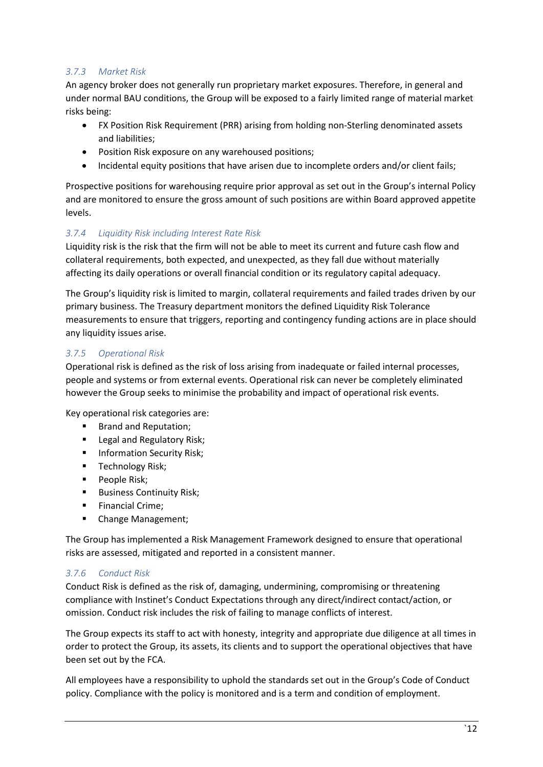## *3.7.3 Market Risk*

An agency broker does not generally run proprietary market exposures. Therefore, in general and under normal BAU conditions, the Group will be exposed to a fairly limited range of material market risks being:

- FX Position Risk Requirement (PRR) arising from holding non-Sterling denominated assets and liabilities;
- Position Risk exposure on any warehoused positions;
- Incidental equity positions that have arisen due to incomplete orders and/or client fails;

Prospective positions for warehousing require prior approval as set out in the Group's internal Policy and are monitored to ensure the gross amount of such positions are within Board approved appetite levels.

# *3.7.4 Liquidity Risk including Interest Rate Risk*

Liquidity risk is the risk that the firm will not be able to meet its current and future cash flow and collateral requirements, both expected, and unexpected, as they fall due without materially affecting its daily operations or overall financial condition or its regulatory capital adequacy.

The Group's liquidity risk is limited to margin, collateral requirements and failed trades driven by our primary business. The Treasury department monitors the defined Liquidity Risk Tolerance measurements to ensure that triggers, reporting and contingency funding actions are in place should any liquidity issues arise.

#### *3.7.5 Operational Risk*

Operational risk is defined as the risk of loss arising from inadequate or failed internal processes, people and systems or from external events. Operational risk can never be completely eliminated however the Group seeks to minimise the probability and impact of operational risk events.

Key operational risk categories are:

- **Brand and Reputation;**
- **Legal and Regulatory Risk;**
- **Information Security Risk;**
- **Technology Risk;**
- **People Risk;**
- **Business Continuity Risk;**
- **Financial Crime;**
- **E** Change Management;

The Group has implemented a Risk Management Framework designed to ensure that operational risks are assessed, mitigated and reported in a consistent manner.

#### *3.7.6 Conduct Risk*

Conduct Risk is defined as the risk of, damaging, undermining, compromising or threatening compliance with Instinet's Conduct Expectations through any direct/indirect contact/action, or omission. Conduct risk includes the risk of failing to manage conflicts of interest.

The Group expects its staff to act with honesty, integrity and appropriate due diligence at all times in order to protect the Group, its assets, its clients and to support the operational objectives that have been set out by the FCA.

All employees have a responsibility to uphold the standards set out in the Group's Code of Conduct policy. Compliance with the policy is monitored and is a term and condition of employment.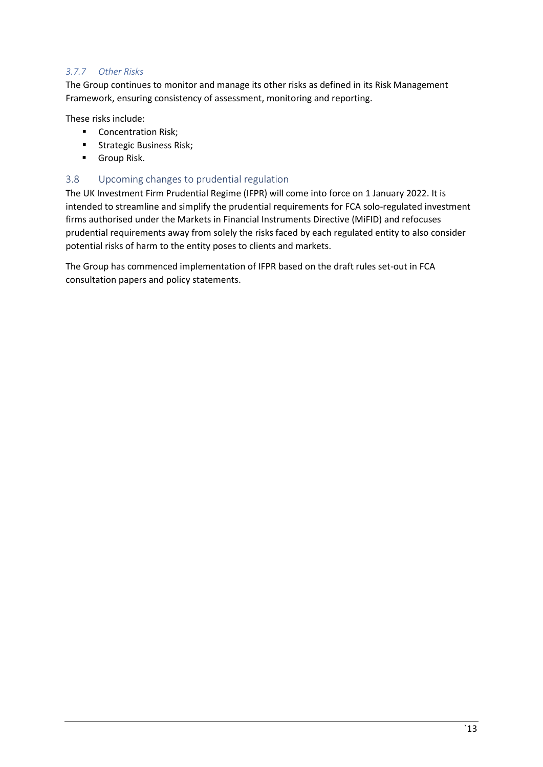## *3.7.7 Other Risks*

The Group continues to monitor and manage its other risks as defined in its Risk Management Framework, ensuring consistency of assessment, monitoring and reporting.

These risks include:

- Concentration Risk;
- **Strategic Business Risk;**
- **Group Risk.**

## <span id="page-13-0"></span>3.8 Upcoming changes to prudential regulation

The UK Investment Firm Prudential Regime (IFPR) will come into force on 1 January 2022. It is intended to streamline and simplify the prudential requirements for FCA solo-regulated investment firms authorised under the Markets in Financial Instruments Directive (MiFID) and refocuses prudential requirements away from solely the risks faced by each regulated entity to also consider potential risks of harm to the entity poses to clients and markets.

The Group has commenced implementation of IFPR based on the draft rules set-out in FCA consultation papers and policy statements.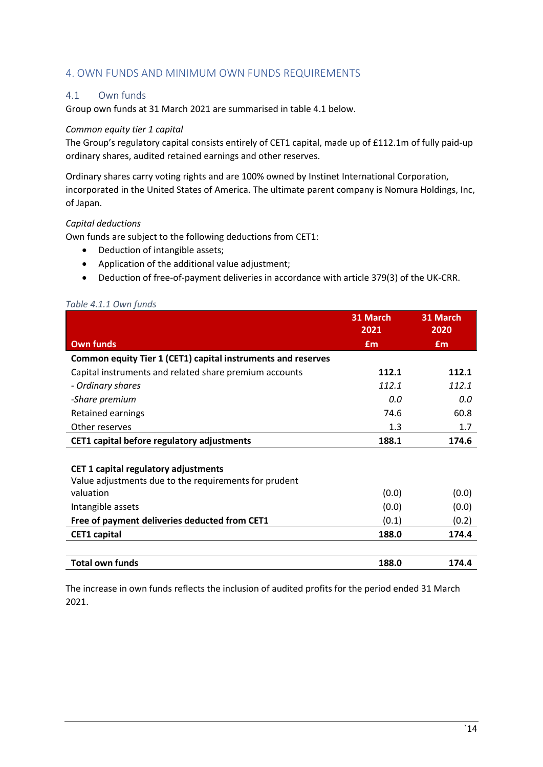# <span id="page-14-0"></span>4. OWN FUNDS AND MINIMUM OWN FUNDS REQUIREMENTS

#### <span id="page-14-1"></span>4.1 Own funds

Group own funds at 31 March 2021 are summarised in table 4.1 below.

#### *Common equity tier 1 capital*

The Group's regulatory capital consists entirely of CET1 capital, made up of £112.1m of fully paid-up ordinary shares, audited retained earnings and other reserves.

Ordinary shares carry voting rights and are 100% owned by Instinet International Corporation, incorporated in the United States of America. The ultimate parent company is Nomura Holdings, Inc, of Japan.

#### *Capital deductions*

Own funds are subject to the following deductions from CET1:

- Deduction of intangible assets;
- Application of the additional value adjustment;
- Deduction of free-of-payment deliveries in accordance with article 379(3) of the UK-CRR.

#### *Table 4.1.1 Own funds*

|                                                              | 31 March<br>2021 | 31 March<br>2020 |
|--------------------------------------------------------------|------------------|------------------|
| <b>Own funds</b>                                             | Em               | Em               |
| Common equity Tier 1 (CET1) capital instruments and reserves |                  |                  |
| Capital instruments and related share premium accounts       | 112.1            | 112.1            |
| - Ordinary shares                                            | 112.1            | 112.1            |
| -Share premium                                               | 0.0              | 0.0              |
| Retained earnings                                            | 74.6             | 60.8             |
| Other reserves                                               | 1.3              | 1.7              |
| CET1 capital before regulatory adjustments                   | 188.1            | 174.6            |
|                                                              |                  |                  |
| CET 1 capital regulatory adjustments                         |                  |                  |
| Value adjustments due to the requirements for prudent        |                  |                  |
| valuation                                                    | (0.0)            | (0.0)            |
| Intangible assets                                            | (0.0)            | (0.0)            |
| Free of payment deliveries deducted from CET1                | (0.1)            | (0.2)            |
| <b>CET1</b> capital                                          | 188.0            | 174.4            |
|                                                              |                  |                  |
| <b>Total own funds</b>                                       | 188.0            | 174.4            |

The increase in own funds reflects the inclusion of audited profits for the period ended 31 March 2021.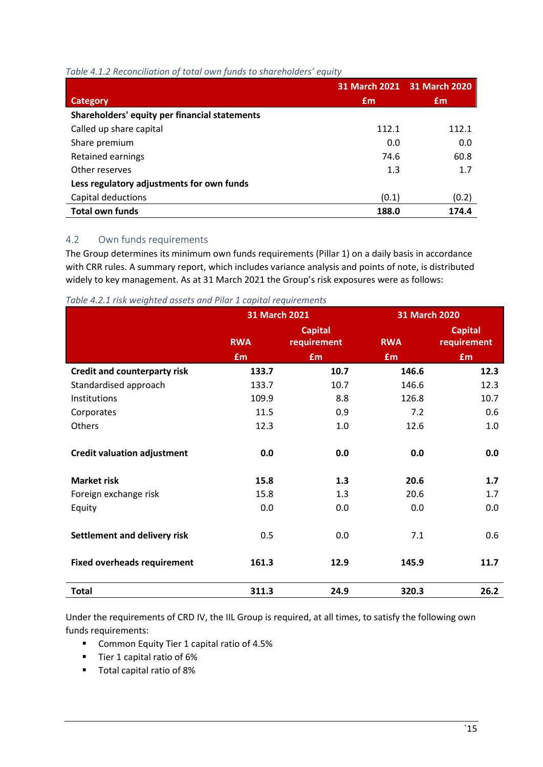#### *Table 4.1.2 Reconciliation of total own funds to shareholders' equity*

|                                               |       | 31 March 2021 31 March 2020 |
|-----------------------------------------------|-------|-----------------------------|
| Category                                      | £m    | £m                          |
| Shareholders' equity per financial statements |       |                             |
| Called up share capital                       | 112.1 | 112.1                       |
| Share premium                                 | 0.0   | 0.0                         |
| Retained earnings                             | 74.6  | 60.8                        |
| Other reserves                                | 1.3   | 1.7                         |
| Less regulatory adjustments for own funds     |       |                             |
| Capital deductions                            | (0.1) | (0.2)                       |
| <b>Total own funds</b>                        | 188.0 | 174.4                       |

## <span id="page-15-0"></span>4.2 Own funds requirements

The Group determines its minimum own funds requirements (Pillar 1) on a daily basis in accordance with CRR rules. A summary report, which includes variance analysis and points of note, is distributed widely to key management. As at 31 March 2021 the Group's risk exposures were as follows:

*Table 4.2.1 risk weighted assets and Pilar 1 capital requirements*

|                                     | <b>31 March 2021</b>                        |           | <b>31 March 2020</b> |                               |
|-------------------------------------|---------------------------------------------|-----------|----------------------|-------------------------------|
|                                     | <b>Capital</b><br><b>RWA</b><br>requirement |           | <b>RWA</b>           | <b>Capital</b><br>requirement |
|                                     | Em                                          | <b>£m</b> | <b>£m</b>            | <b>£m</b>                     |
| <b>Credit and counterparty risk</b> | 133.7                                       | 10.7      | 146.6                | 12.3                          |
| Standardised approach               | 133.7                                       | 10.7      | 146.6                | 12.3                          |
| Institutions                        | 109.9                                       | 8.8       | 126.8                | 10.7                          |
| Corporates                          | 11.5                                        | 0.9       | 7.2                  | 0.6                           |
| Others                              | 12.3                                        | 1.0       | 12.6                 | 1.0                           |
| <b>Credit valuation adjustment</b>  | 0.0                                         | 0.0       | 0.0                  | 0.0                           |
| <b>Market risk</b>                  | 15.8                                        | 1.3       | 20.6                 | 1.7                           |
| Foreign exchange risk               | 15.8                                        | 1.3       | 20.6                 | 1.7                           |
| Equity                              | 0.0                                         | 0.0       | 0.0                  | 0.0                           |
| Settlement and delivery risk        | 0.5                                         | 0.0       | 7.1                  | 0.6                           |
| <b>Fixed overheads requirement</b>  | 161.3                                       | 12.9      | 145.9                | 11.7                          |
| <b>Total</b>                        | 311.3                                       | 24.9      | 320.3                | 26.2                          |

Under the requirements of CRD IV, the IIL Group is required, at all times, to satisfy the following own funds requirements:

- Common Equity Tier 1 capital ratio of 4.5%
- **Tier 1 capital ratio of 6%**
- **Total capital ratio of 8%**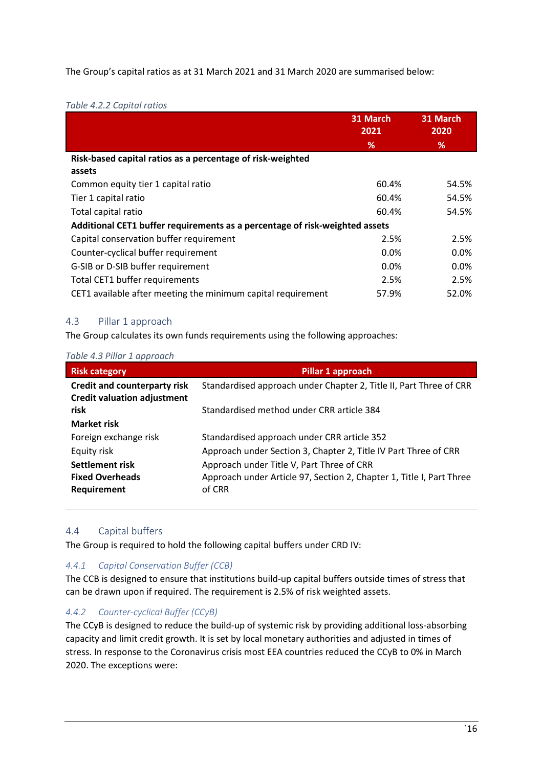The Group's capital ratios as at 31 March 2021 and 31 March 2020 are summarised below:

#### *Table 4.2.2 Capital ratios*

|                                                                             | 31 March<br>2021 | 31 March<br>2020 |
|-----------------------------------------------------------------------------|------------------|------------------|
|                                                                             | %                | %                |
| Risk-based capital ratios as a percentage of risk-weighted                  |                  |                  |
| assets                                                                      |                  |                  |
| Common equity tier 1 capital ratio                                          | 60.4%            | 54.5%            |
| Tier 1 capital ratio                                                        | 60.4%            | 54.5%            |
| Total capital ratio                                                         | 60.4%            | 54.5%            |
| Additional CET1 buffer requirements as a percentage of risk-weighted assets |                  |                  |
| Capital conservation buffer requirement                                     | 2.5%             | 2.5%             |
| Counter-cyclical buffer requirement                                         | $0.0\%$          | 0.0%             |
| G-SIB or D-SIB buffer requirement                                           | $0.0\%$          | 0.0%             |
| Total CET1 buffer requirements                                              | 2.5%             | 2.5%             |
| CET1 available after meeting the minimum capital requirement                | 57.9%            | 52.0%            |

#### <span id="page-16-0"></span>4.3 Pillar 1 approach

The Group calculates its own funds requirements using the following approaches:

#### *Table 4.3 Pillar 1 approach*

| <b>Risk category</b>                       | Pillar 1 approach                                                    |
|--------------------------------------------|----------------------------------------------------------------------|
| <b>Credit and counterparty risk</b>        | Standardised approach under Chapter 2, Title II, Part Three of CRR   |
| <b>Credit valuation adjustment</b><br>risk | Standardised method under CRR article 384                            |
| <b>Market risk</b>                         |                                                                      |
| Foreign exchange risk                      | Standardised approach under CRR article 352                          |
| Equity risk                                | Approach under Section 3, Chapter 2, Title IV Part Three of CRR      |
| Settlement risk                            | Approach under Title V, Part Three of CRR                            |
| <b>Fixed Overheads</b>                     | Approach under Article 97, Section 2, Chapter 1, Title I, Part Three |
| Requirement                                | of CRR                                                               |

#### <span id="page-16-1"></span>4.4 Capital buffers

The Group is required to hold the following capital buffers under CRD IV:

#### *4.4.1 Capital Conservation Buffer (CCB)*

The CCB is designed to ensure that institutions build-up capital buffers outside times of stress that can be drawn upon if required. The requirement is 2.5% of risk weighted assets.

## *4.4.2 Counter-cyclical Buffer (CCyB)*

The CCyB is designed to reduce the build-up of systemic risk by providing additional loss-absorbing capacity and limit credit growth. It is set by local monetary authorities and adjusted in times of stress. In response to the Coronavirus crisis most EEA countries reduced the CCyB to 0% in March 2020. The exceptions were: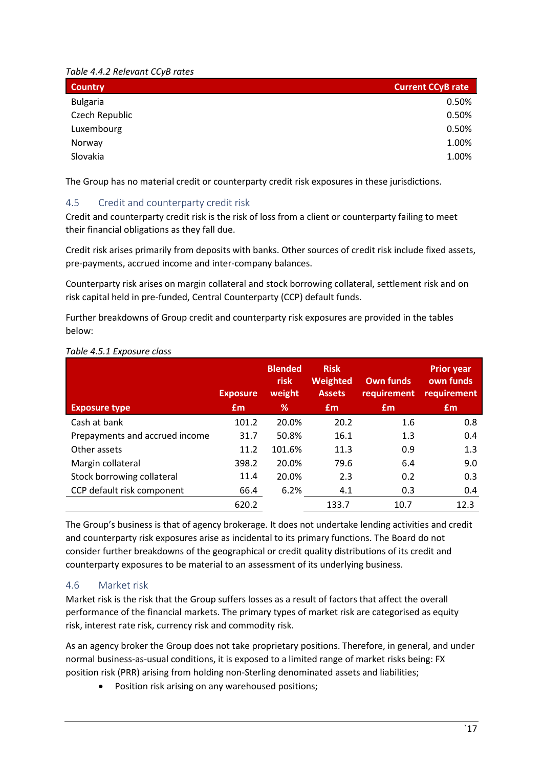*Table 4.4.2 Relevant CCyB rates* 

| <b>Country</b>  | <b>Current CCyB rate</b> |
|-----------------|--------------------------|
| <b>Bulgaria</b> | 0.50%                    |
| Czech Republic  | 0.50%                    |
| Luxembourg      | 0.50%                    |
| Norway          | 1.00%                    |
| Slovakia        | 1.00%                    |

The Group has no material credit or counterparty credit risk exposures in these jurisdictions.

# <span id="page-17-0"></span>4.5 Credit and counterparty credit risk

Credit and counterparty credit risk is the risk of loss from a client or counterparty failing to meet their financial obligations as they fall due.

Credit risk arises primarily from deposits with banks. Other sources of credit risk include fixed assets, pre-payments, accrued income and inter-company balances.

Counterparty risk arises on margin collateral and stock borrowing collateral, settlement risk and on risk capital held in pre-funded, Central Counterparty (CCP) default funds.

Further breakdowns of Group credit and counterparty risk exposures are provided in the tables below:

|                                | <b>Exposure</b> | <b>Blended</b><br>risk<br>weight | <b>Risk</b><br><b>Weighted</b><br><b>Assets</b> | <b>Own funds</b><br>requirement | <b>Prior year</b><br>own funds<br>requirement |
|--------------------------------|-----------------|----------------------------------|-------------------------------------------------|---------------------------------|-----------------------------------------------|
| <b>Exposure type</b>           | Em              | %                                | Em                                              | £m                              | £m                                            |
| Cash at bank                   | 101.2           | 20.0%                            | 20.2                                            | 1.6                             | 0.8                                           |
| Prepayments and accrued income | 31.7            | 50.8%                            | 16.1                                            | 1.3                             | 0.4                                           |
| Other assets                   | 11.2            | 101.6%                           | 11.3                                            | 0.9                             | 1.3                                           |
| Margin collateral              | 398.2           | 20.0%                            | 79.6                                            | 6.4                             | 9.0                                           |
| Stock borrowing collateral     | 11.4            | 20.0%                            | 2.3                                             | 0.2                             | 0.3                                           |
| CCP default risk component     | 66.4            | 6.2%                             | 4.1                                             | 0.3                             | 0.4                                           |
|                                | 620.2           |                                  | 133.7                                           | 10.7                            | 12.3                                          |

#### *Table 4.5.1 Exposure class*

The Group's business is that of agency brokerage. It does not undertake lending activities and credit and counterparty risk exposures arise as incidental to its primary functions. The Board do not consider further breakdowns of the geographical or credit quality distributions of its credit and counterparty exposures to be material to an assessment of its underlying business.

#### <span id="page-17-1"></span>4.6 Market risk

Market risk is the risk that the Group suffers losses as a result of factors that affect the overall performance of the financial markets. The primary types of market risk are categorised as equity risk, interest rate risk, currency risk and commodity risk.

As an agency broker the Group does not take proprietary positions. Therefore, in general, and under normal business-as-usual conditions, it is exposed to a limited range of market risks being: FX position risk (PRR) arising from holding non-Sterling denominated assets and liabilities;

• Position risk arising on any warehoused positions;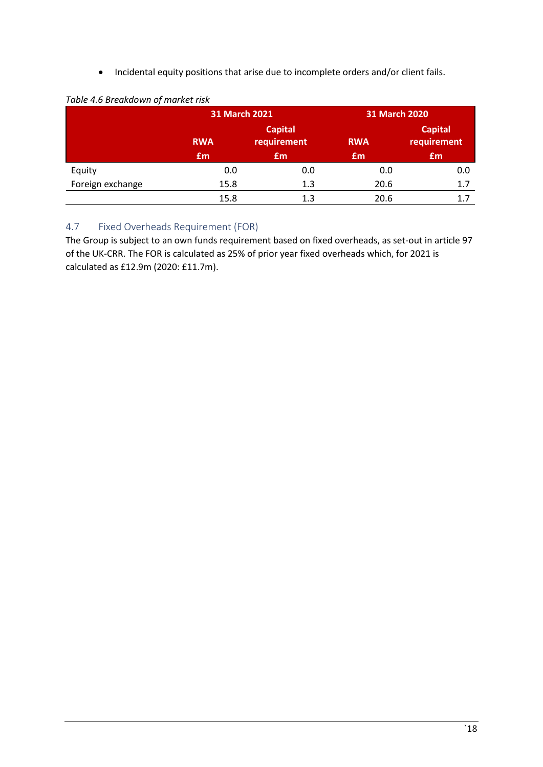• Incidental equity positions that arise due to incomplete orders and/or client fails.

|                  | <b>31 March 2021</b> |                               |            | <b>31 March 2020</b>          |  |  |
|------------------|----------------------|-------------------------------|------------|-------------------------------|--|--|
|                  | <b>RWA</b>           | <b>Capital</b><br>requirement | <b>RWA</b> | <b>Capital</b><br>requirement |  |  |
|                  | £m                   | £m                            | Em.        | £m                            |  |  |
| Equity           | 0.0                  | 0.0                           | 0.0        | 0.0                           |  |  |
| Foreign exchange | 15.8                 | 1.3                           | 20.6       | 1.7                           |  |  |
|                  | 15.8                 | 1.3                           | 20.6       | 17                            |  |  |

#### *Table 4.6 Breakdown of market risk*

# <span id="page-18-0"></span>4.7 Fixed Overheads Requirement (FOR)

The Group is subject to an own funds requirement based on fixed overheads, as set-out in article 97 of the UK-CRR. The FOR is calculated as 25% of prior year fixed overheads which, for 2021 is calculated as £12.9m (2020: £11.7m).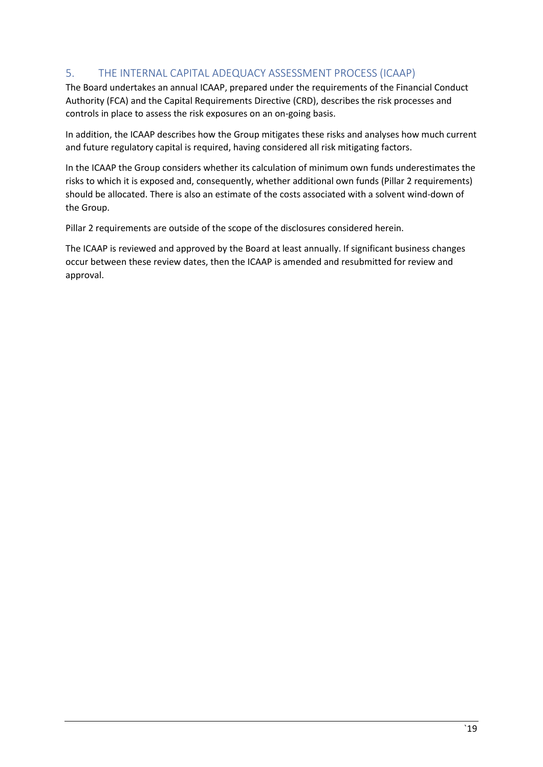# <span id="page-19-0"></span>5. THE INTERNAL CAPITAL ADEQUACY ASSESSMENT PROCESS (ICAAP)

The Board undertakes an annual ICAAP, prepared under the requirements of the Financial Conduct Authority (FCA) and the Capital Requirements Directive (CRD), describes the risk processes and controls in place to assess the risk exposures on an on-going basis.

In addition, the ICAAP describes how the Group mitigates these risks and analyses how much current and future regulatory capital is required, having considered all risk mitigating factors.

In the ICAAP the Group considers whether its calculation of minimum own funds underestimates the risks to which it is exposed and, consequently, whether additional own funds (Pillar 2 requirements) should be allocated. There is also an estimate of the costs associated with a solvent wind-down of the Group.

Pillar 2 requirements are outside of the scope of the disclosures considered herein.

The ICAAP is reviewed and approved by the Board at least annually. If significant business changes occur between these review dates, then the ICAAP is amended and resubmitted for review and approval.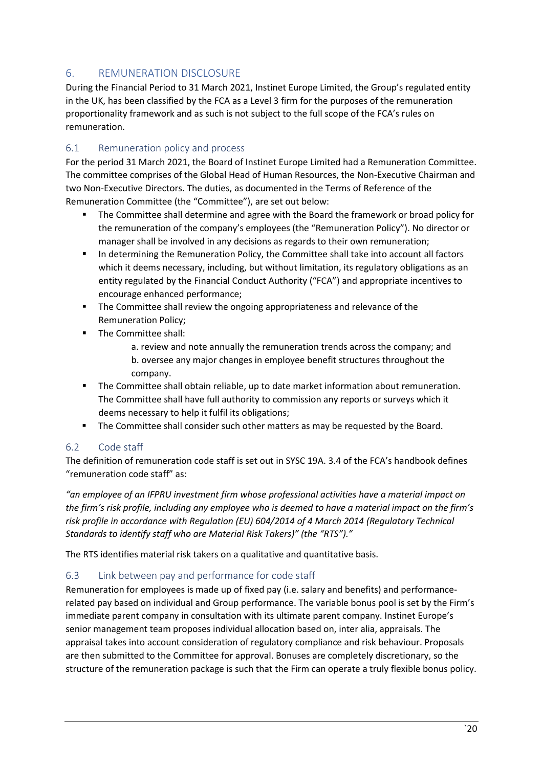# <span id="page-20-0"></span>6. REMUNERATION DISCLOSURE

During the Financial Period to 31 March 2021, Instinet Europe Limited, the Group's regulated entity in the UK, has been classified by the FCA as a Level 3 firm for the purposes of the remuneration proportionality framework and as such is not subject to the full scope of the FCA's rules on remuneration.

## <span id="page-20-1"></span>6.1 Remuneration policy and process

For the period 31 March 2021, the Board of Instinet Europe Limited had a Remuneration Committee. The committee comprises of the Global Head of Human Resources, the Non-Executive Chairman and two Non-Executive Directors. The duties, as documented in the Terms of Reference of the Remuneration Committee (the "Committee"), are set out below:

- The Committee shall determine and agree with the Board the framework or broad policy for the remuneration of the company's employees (the "Remuneration Policy"). No director or manager shall be involved in any decisions as regards to their own remuneration;
- **In determining the Remuneration Policy, the Committee shall take into account all factors** which it deems necessary, including, but without limitation, its regulatory obligations as an entity regulated by the Financial Conduct Authority ("FCA") and appropriate incentives to encourage enhanced performance;
- The Committee shall review the ongoing appropriateness and relevance of the Remuneration Policy;
- **The Committee shall:** 
	- a. review and note annually the remuneration trends across the company; and b. oversee any major changes in employee benefit structures throughout the company.
- The Committee shall obtain reliable, up to date market information about remuneration. The Committee shall have full authority to commission any reports or surveys which it deems necessary to help it fulfil its obligations;
- The Committee shall consider such other matters as may be requested by the Board.

# <span id="page-20-2"></span>6.2 Code staff

The definition of remuneration code staff is set out in SYSC 19A. 3.4 of the FCA's handbook defines "remuneration code staff" as:

*"an employee of an IFPRU investment firm whose professional activities have a material impact on the firm's risk profile, including any employee who is deemed to have a material impact on the firm's risk profile in accordance with Regulation (EU) 604/2014 of 4 March 2014 (Regulatory Technical Standards to identify staff who are Material Risk Takers)" (the "RTS")."* 

The RTS identifies material risk takers on a qualitative and quantitative basis.

#### <span id="page-20-3"></span>6.3 Link between pay and performance for code staff

Remuneration for employees is made up of fixed pay (i.e. salary and benefits) and performancerelated pay based on individual and Group performance. The variable bonus pool is set by the Firm's immediate parent company in consultation with its ultimate parent company. Instinet Europe's senior management team proposes individual allocation based on, inter alia, appraisals. The appraisal takes into account consideration of regulatory compliance and risk behaviour. Proposals are then submitted to the Committee for approval. Bonuses are completely discretionary, so the structure of the remuneration package is such that the Firm can operate a truly flexible bonus policy.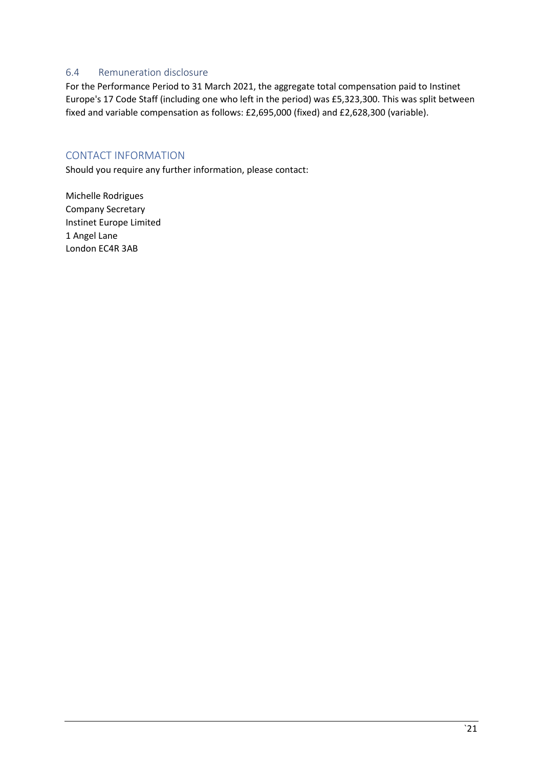## <span id="page-21-0"></span>6.4 Remuneration disclosure

For the Performance Period to 31 March 2021, the aggregate total compensation paid to Instinet Europe's 17 Code Staff (including one who left in the period) was £5,323,300. This was split between fixed and variable compensation as follows: £2,695,000 (fixed) and £2,628,300 (variable).

# <span id="page-21-1"></span>CONTACT INFORMATION

Should you require any further information, please contact:

Michelle Rodrigues Company Secretary Instinet Europe Limited 1 Angel Lane London EC4R 3AB